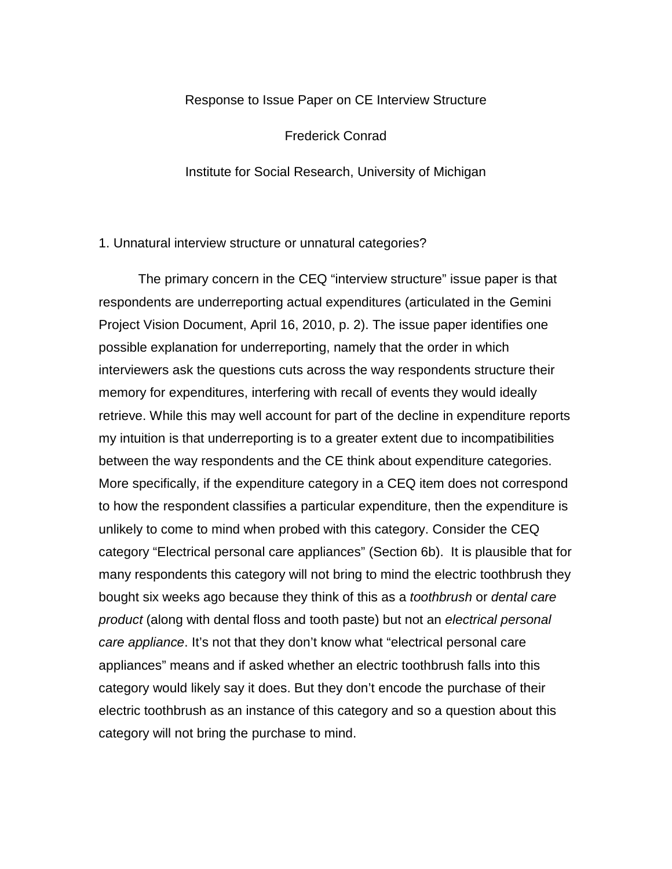## Response to Issue Paper on CE Interview Structure

Frederick Conrad

Institute for Social Research, University of Michigan

1. Unnatural interview structure or unnatural categories?

The primary concern in the CEQ "interview structure" issue paper is that respondents are underreporting actual expenditures (articulated in the Gemini Project Vision Document, April 16, 2010, p. 2). The issue paper identifies one possible explanation for underreporting, namely that the order in which interviewers ask the questions cuts across the way respondents structure their memory for expenditures, interfering with recall of events they would ideally retrieve. While this may well account for part of the decline in expenditure reports my intuition is that underreporting is to a greater extent due to incompatibilities between the way respondents and the CE think about expenditure categories. More specifically, if the expenditure category in a CEQ item does not correspond to how the respondent classifies a particular expenditure, then the expenditure is unlikely to come to mind when probed with this category. Consider the CEQ category "Electrical personal care appliances" (Section 6b). It is plausible that for many respondents this category will not bring to mind the electric toothbrush they bought six weeks ago because they think of this as a *toothbrush* or *dental care product* (along with dental floss and tooth paste) but not an *electrical personal care appliance*. It's not that they don't know what "electrical personal care appliances" means and if asked whether an electric toothbrush falls into this category would likely say it does. But they don't encode the purchase of their electric toothbrush as an instance of this category and so a question about this category will not bring the purchase to mind.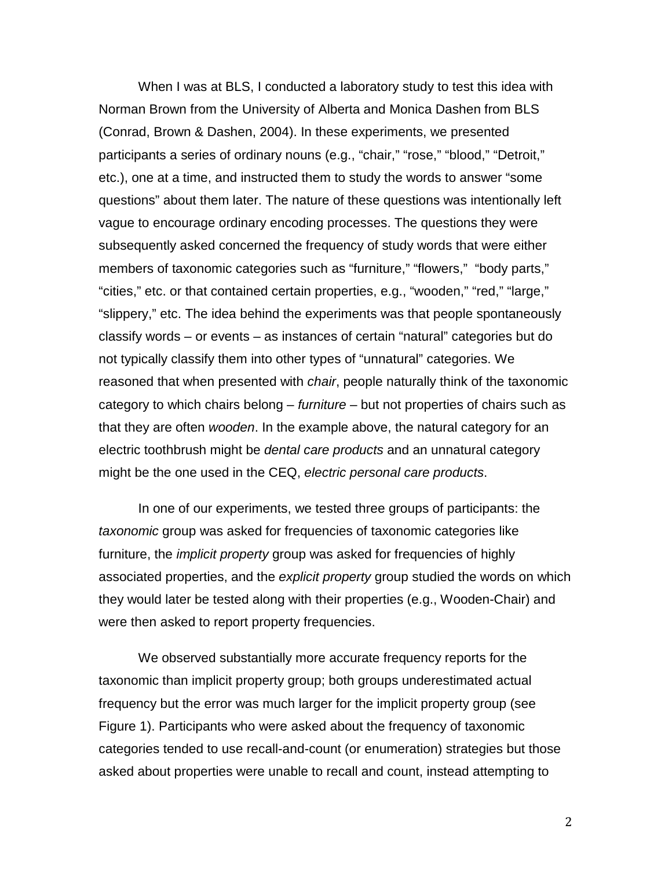When I was at BLS, I conducted a laboratory study to test this idea with Norman Brown from the University of Alberta and Monica Dashen from BLS (Conrad, Brown & Dashen, 2004). In these experiments, we presented participants a series of ordinary nouns (e.g., "chair," "rose," "blood," "Detroit," etc.), one at a time, and instructed them to study the words to answer "some questions" about them later. The nature of these questions was intentionally left vague to encourage ordinary encoding processes. The questions they were subsequently asked concerned the frequency of study words that were either members of taxonomic categories such as "furniture," "flowers," "body parts," "cities," etc. or that contained certain properties, e.g., "wooden," "red," "large," "slippery," etc. The idea behind the experiments was that people spontaneously classify words – or events – as instances of certain "natural" categories but do not typically classify them into other types of "unnatural" categories. We reasoned that when presented with *chair*, people naturally think of the taxonomic category to which chairs belong – *furniture* – but not properties of chairs such as that they are often *wooden*. In the example above, the natural category for an electric toothbrush might be *dental care products* and an unnatural category might be the one used in the CEQ, *electric personal care products*.

In one of our experiments, we tested three groups of participants: the *taxonomic* group was asked for frequencies of taxonomic categories like furniture, the *implicit property* group was asked for frequencies of highly associated properties, and the *explicit property* group studied the words on which they would later be tested along with their properties (e.g., Wooden-Chair) and were then asked to report property frequencies.

We observed substantially more accurate frequency reports for the taxonomic than implicit property group; both groups underestimated actual frequency but the error was much larger for the implicit property group (see Figure 1). Participants who were asked about the frequency of taxonomic categories tended to use recall-and-count (or enumeration) strategies but those asked about properties were unable to recall and count, instead attempting to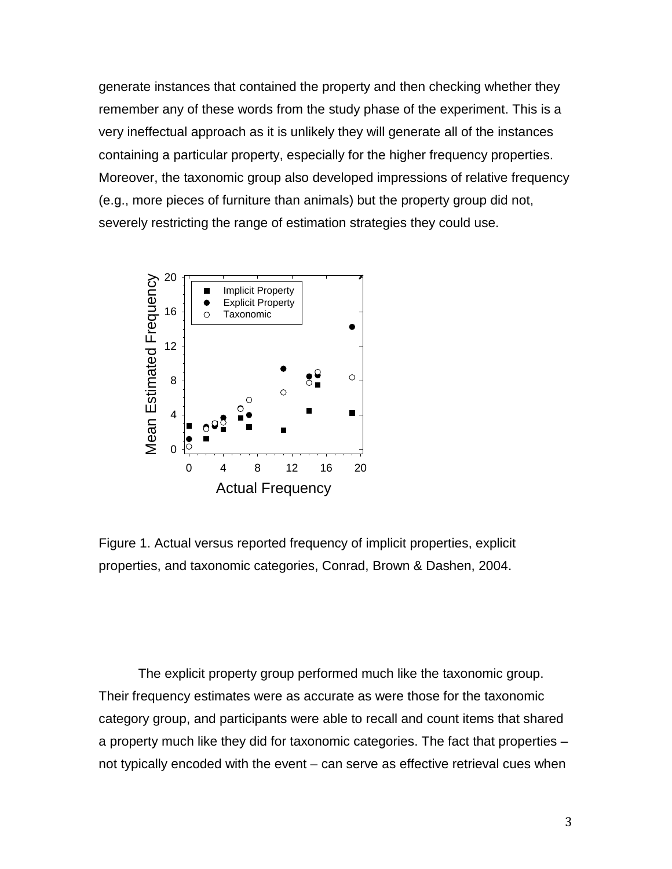generate instances that contained the property and then checking whether they remember any of these words from the study phase of the experiment. This is a very ineffectual approach as it is unlikely they will generate all of the instances containing a particular property, especially for the higher frequency properties. Moreover, the taxonomic group also developed impressions of relative frequency (e.g., more pieces of furniture than animals) but the property group did not, severely restricting the range of estimation strategies they could use.



Figure 1. Actual versus reported frequency of implicit properties, explicit properties, and taxonomic categories, Conrad, Brown & Dashen, 2004.

The explicit property group performed much like the taxonomic group. Their frequency estimates were as accurate as were those for the taxonomic category group, and participants were able to recall and count items that shared a property much like they did for taxonomic categories. The fact that properties – not typically encoded with the event – can serve as effective retrieval cues when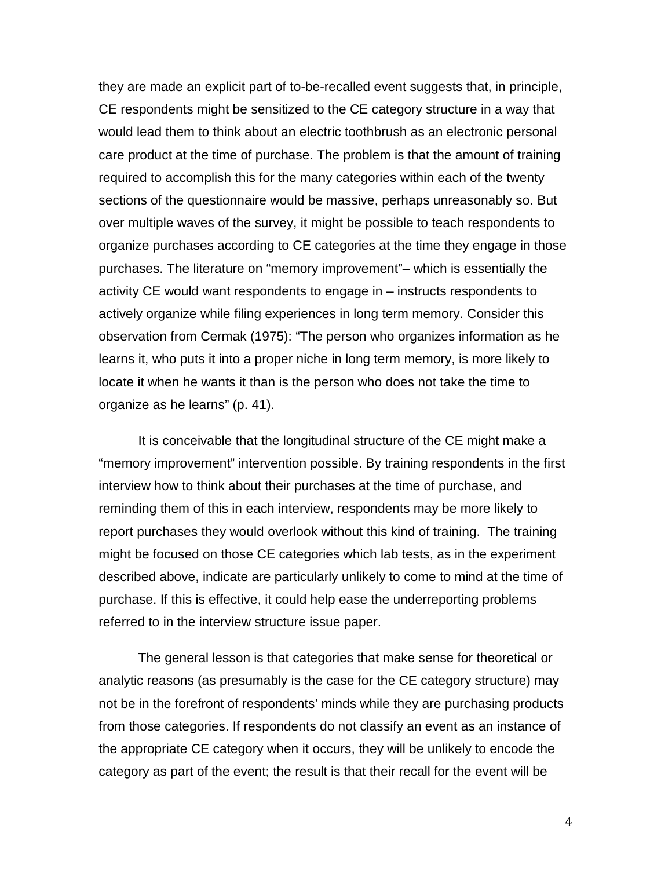they are made an explicit part of to-be-recalled event suggests that, in principle, CE respondents might be sensitized to the CE category structure in a way that would lead them to think about an electric toothbrush as an electronic personal care product at the time of purchase. The problem is that the amount of training required to accomplish this for the many categories within each of the twenty sections of the questionnaire would be massive, perhaps unreasonably so. But over multiple waves of the survey, it might be possible to teach respondents to organize purchases according to CE categories at the time they engage in those purchases. The literature on "memory improvement"– which is essentially the activity CE would want respondents to engage in – instructs respondents to actively organize while filing experiences in long term memory. Consider this observation from Cermak (1975): "The person who organizes information as he learns it, who puts it into a proper niche in long term memory, is more likely to locate it when he wants it than is the person who does not take the time to organize as he learns" (p. 41).

It is conceivable that the longitudinal structure of the CE might make a "memory improvement" intervention possible. By training respondents in the first interview how to think about their purchases at the time of purchase, and reminding them of this in each interview, respondents may be more likely to report purchases they would overlook without this kind of training. The training might be focused on those CE categories which lab tests, as in the experiment described above, indicate are particularly unlikely to come to mind at the time of purchase. If this is effective, it could help ease the underreporting problems referred to in the interview structure issue paper.

The general lesson is that categories that make sense for theoretical or analytic reasons (as presumably is the case for the CE category structure) may not be in the forefront of respondents' minds while they are purchasing products from those categories. If respondents do not classify an event as an instance of the appropriate CE category when it occurs, they will be unlikely to encode the category as part of the event; the result is that their recall for the event will be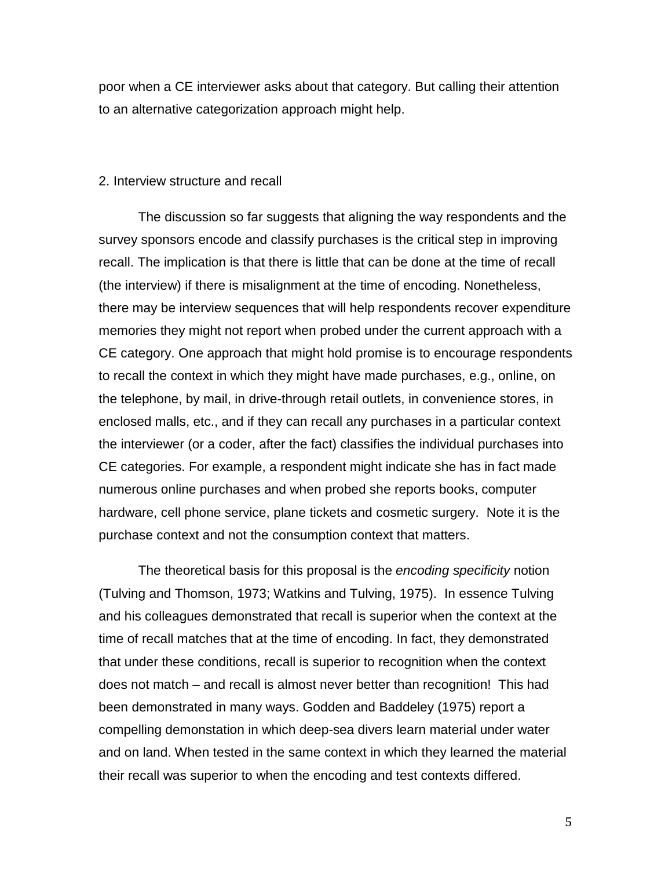poor when a CE interviewer asks about that category. But calling their attention to an alternative categorization approach might help.

## 2. Interview structure and recall

The discussion so far suggests that aligning the way respondents and the survey sponsors encode and classify purchases is the critical step in improving recall. The implication is that there is little that can be done at the time of recall (the interview) if there is misalignment at the time of encoding. Nonetheless, there may be interview sequences that will help respondents recover expenditure memories they might not report when probed under the current approach with a CE category. One approach that might hold promise is to encourage respondents to recall the context in which they might have made purchases, e.g., online, on the telephone, by mail, in drive-through retail outlets, in convenience stores, in enclosed malls, etc., and if they can recall any purchases in a particular context the interviewer (or a coder, after the fact) classifies the individual purchases into CE categories. For example, a respondent might indicate she has in fact made numerous online purchases and when probed she reports books, computer hardware, cell phone service, plane tickets and cosmetic surgery. Note it is the purchase context and not the consumption context that matters.

The theoretical basis for this proposal is the *encoding specificity* notion (Tulving and Thomson, 1973; Watkins and Tulving, 1975). In essence Tulving and his colleagues demonstrated that recall is superior when the context at the time of recall matches that at the time of encoding. In fact, they demonstrated that under these conditions, recall is superior to recognition when the context does not match – and recall is almost never better than recognition! This had been demonstrated in many ways. Godden and Baddeley (1975) report a compelling demonstation in which deep-sea divers learn material under water and on land. When tested in the same context in which they learned the material their recall was superior to when the encoding and test contexts differed.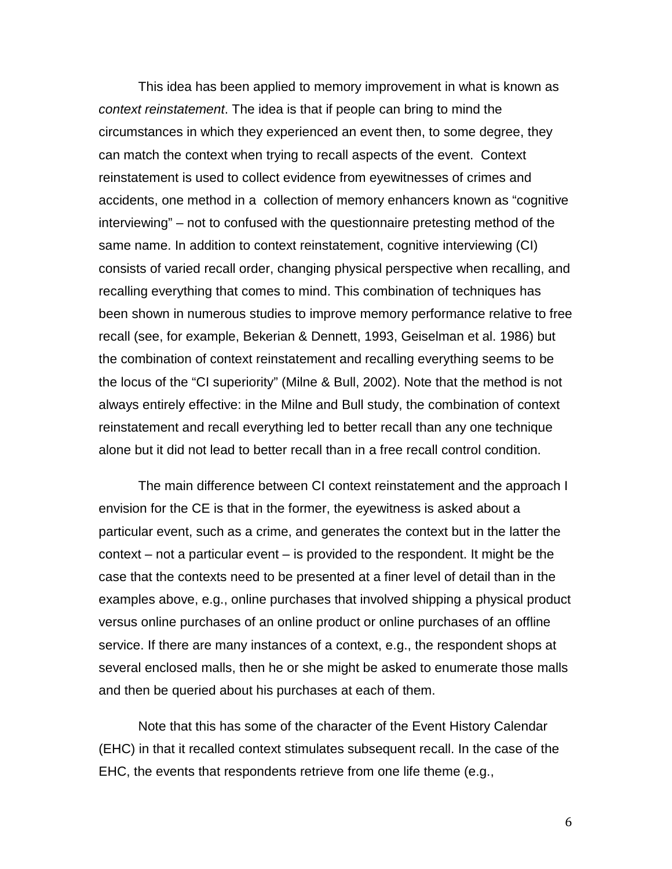This idea has been applied to memory improvement in what is known as *context reinstatement*. The idea is that if people can bring to mind the circumstances in which they experienced an event then, to some degree, they can match the context when trying to recall aspects of the event. Context reinstatement is used to collect evidence from eyewitnesses of crimes and accidents, one method in a collection of memory enhancers known as "cognitive interviewing" – not to confused with the questionnaire pretesting method of the same name. In addition to context reinstatement, cognitive interviewing (CI) consists of varied recall order, changing physical perspective when recalling, and recalling everything that comes to mind. This combination of techniques has been shown in numerous studies to improve memory performance relative to free recall (see, for example, Bekerian & Dennett, 1993, Geiselman et al. 1986) but the combination of context reinstatement and recalling everything seems to be the locus of the "CI superiority" (Milne & Bull, 2002). Note that the method is not always entirely effective: in the Milne and Bull study, the combination of context reinstatement and recall everything led to better recall than any one technique alone but it did not lead to better recall than in a free recall control condition.

The main difference between CI context reinstatement and the approach I envision for the CE is that in the former, the eyewitness is asked about a particular event, such as a crime, and generates the context but in the latter the context – not a particular event – is provided to the respondent. It might be the case that the contexts need to be presented at a finer level of detail than in the examples above, e.g., online purchases that involved shipping a physical product versus online purchases of an online product or online purchases of an offline service. If there are many instances of a context, e.g., the respondent shops at several enclosed malls, then he or she might be asked to enumerate those malls and then be queried about his purchases at each of them.

Note that this has some of the character of the Event History Calendar (EHC) in that it recalled context stimulates subsequent recall. In the case of the EHC, the events that respondents retrieve from one life theme (e.g.,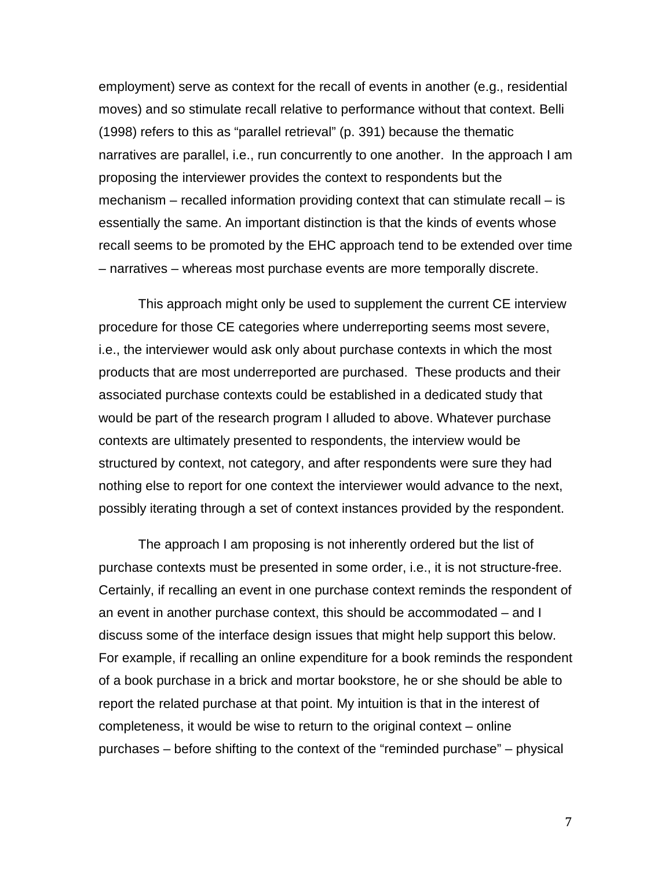employment) serve as context for the recall of events in another (e.g., residential moves) and so stimulate recall relative to performance without that context. Belli (1998) refers to this as "parallel retrieval" (p. 391) because the thematic narratives are parallel, i.e., run concurrently to one another. In the approach I am proposing the interviewer provides the context to respondents but the mechanism – recalled information providing context that can stimulate recall – is essentially the same. An important distinction is that the kinds of events whose recall seems to be promoted by the EHC approach tend to be extended over time – narratives – whereas most purchase events are more temporally discrete.

This approach might only be used to supplement the current CE interview procedure for those CE categories where underreporting seems most severe, i.e., the interviewer would ask only about purchase contexts in which the most products that are most underreported are purchased. These products and their associated purchase contexts could be established in a dedicated study that would be part of the research program I alluded to above. Whatever purchase contexts are ultimately presented to respondents, the interview would be structured by context, not category, and after respondents were sure they had nothing else to report for one context the interviewer would advance to the next, possibly iterating through a set of context instances provided by the respondent.

The approach I am proposing is not inherently ordered but the list of purchase contexts must be presented in some order, i.e., it is not structure-free. Certainly, if recalling an event in one purchase context reminds the respondent of an event in another purchase context, this should be accommodated – and I discuss some of the interface design issues that might help support this below. For example, if recalling an online expenditure for a book reminds the respondent of a book purchase in a brick and mortar bookstore, he or she should be able to report the related purchase at that point. My intuition is that in the interest of completeness, it would be wise to return to the original context – online purchases – before shifting to the context of the "reminded purchase" – physical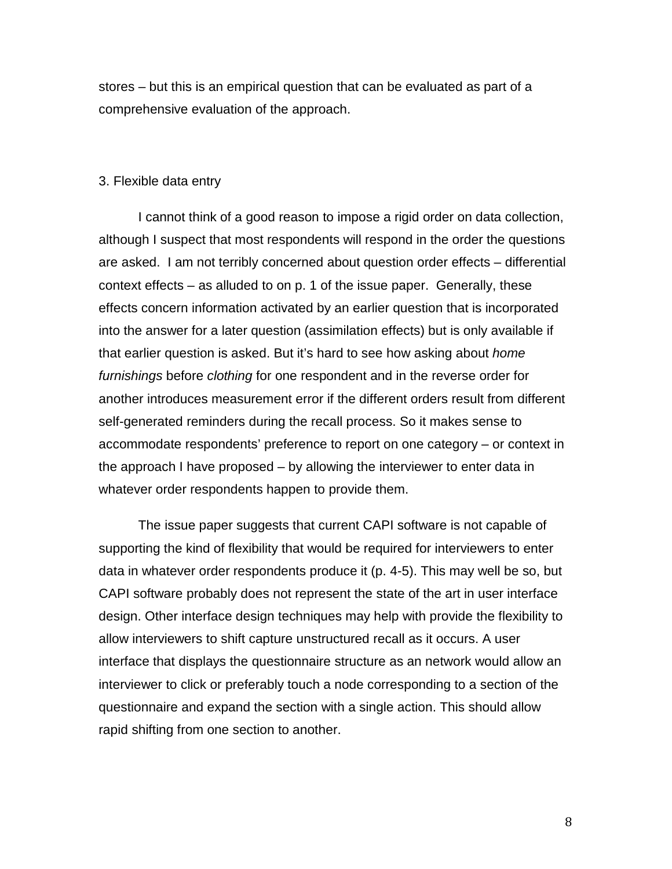stores – but this is an empirical question that can be evaluated as part of a comprehensive evaluation of the approach.

## 3. Flexible data entry

I cannot think of a good reason to impose a rigid order on data collection, although I suspect that most respondents will respond in the order the questions are asked. I am not terribly concerned about question order effects – differential context effects – as alluded to on p. 1 of the issue paper. Generally, these effects concern information activated by an earlier question that is incorporated into the answer for a later question (assimilation effects) but is only available if that earlier question is asked. But it's hard to see how asking about *home furnishings* before *clothing* for one respondent and in the reverse order for another introduces measurement error if the different orders result from different self-generated reminders during the recall process. So it makes sense to accommodate respondents' preference to report on one category – or context in the approach I have proposed – by allowing the interviewer to enter data in whatever order respondents happen to provide them.

The issue paper suggests that current CAPI software is not capable of supporting the kind of flexibility that would be required for interviewers to enter data in whatever order respondents produce it (p. 4-5). This may well be so, but CAPI software probably does not represent the state of the art in user interface design. Other interface design techniques may help with provide the flexibility to allow interviewers to shift capture unstructured recall as it occurs. A user interface that displays the questionnaire structure as an network would allow an interviewer to click or preferably touch a node corresponding to a section of the questionnaire and expand the section with a single action. This should allow rapid shifting from one section to another.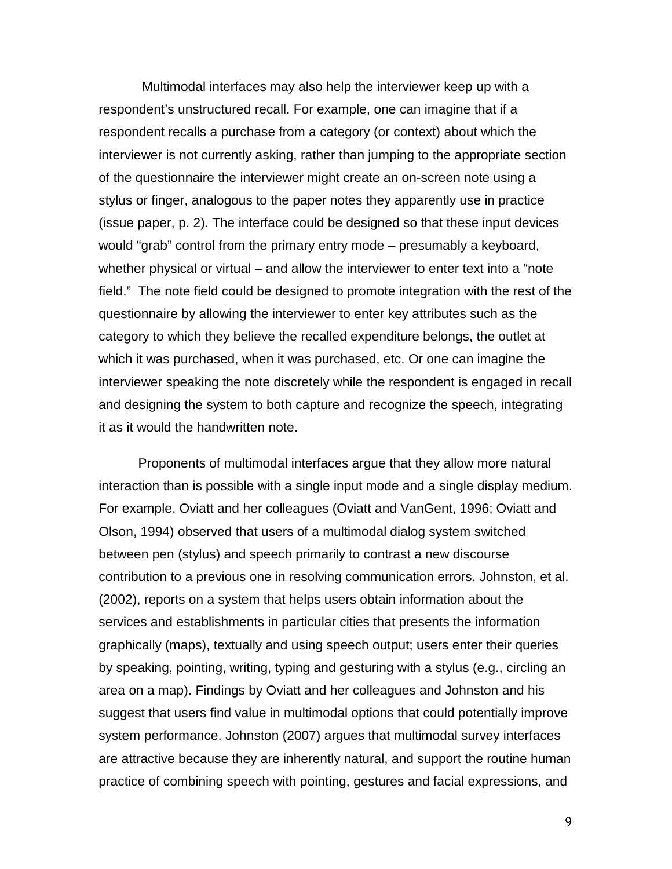Multimodal interfaces may also help the interviewer keep up with a respondent's unstructured recall. For example, one can imagine that if a respondent recalls a purchase from a category (or context) about which the interviewer is not currently asking, rather than jumping to the appropriate section of the questionnaire the interviewer might create an on-screen note using a stylus or finger, analogous to the paper notes they apparently use in practice (issue paper, p. 2). The interface could be designed so that these input devices would "grab" control from the primary entry mode – presumably a keyboard, whether physical or virtual – and allow the interviewer to enter text into a "note field." The note field could be designed to promote integration with the rest of the questionnaire by allowing the interviewer to enter key attributes such as the category to which they believe the recalled expenditure belongs, the outlet at which it was purchased, when it was purchased, etc. Or one can imagine the interviewer speaking the note discretely while the respondent is engaged in recall and designing the system to both capture and recognize the speech, integrating it as it would the handwritten note.

Proponents of multimodal interfaces argue that they allow more natural interaction than is possible with a single input mode and a single display medium. For example, Oviatt and her colleagues (Oviatt and VanGent, 1996; Oviatt and Olson, 1994) observed that users of a multimodal dialog system switched between pen (stylus) and speech primarily to contrast a new discourse contribution to a previous one in resolving communication errors. Johnston, et al. (2002), reports on a system that helps users obtain information about the services and establishments in particular cities that presents the information graphically (maps), textually and using speech output; users enter their queries by speaking, pointing, writing, typing and gesturing with a stylus (e.g., circling an area on a map). Findings by Oviatt and her colleagues and Johnston and his suggest that users find value in multimodal options that could potentially improve system performance. Johnston (2007) argues that multimodal survey interfaces are attractive because they are inherently natural, and support the routine human practice of combining speech with pointing, gestures and facial expressions, and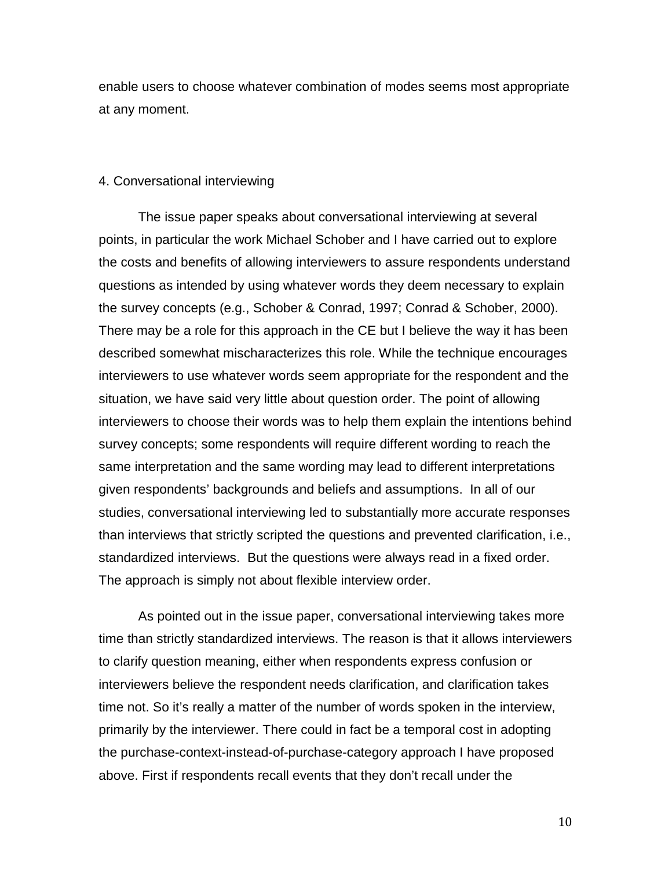enable users to choose whatever combination of modes seems most appropriate at any moment.

## 4. Conversational interviewing

The issue paper speaks about conversational interviewing at several points, in particular the work Michael Schober and I have carried out to explore the costs and benefits of allowing interviewers to assure respondents understand questions as intended by using whatever words they deem necessary to explain the survey concepts (e.g., Schober & Conrad, 1997; Conrad & Schober, 2000). There may be a role for this approach in the CE but I believe the way it has been described somewhat mischaracterizes this role. While the technique encourages interviewers to use whatever words seem appropriate for the respondent and the situation, we have said very little about question order. The point of allowing interviewers to choose their words was to help them explain the intentions behind survey concepts; some respondents will require different wording to reach the same interpretation and the same wording may lead to different interpretations given respondents' backgrounds and beliefs and assumptions. In all of our studies, conversational interviewing led to substantially more accurate responses than interviews that strictly scripted the questions and prevented clarification, i.e., standardized interviews. But the questions were always read in a fixed order. The approach is simply not about flexible interview order.

As pointed out in the issue paper, conversational interviewing takes more time than strictly standardized interviews. The reason is that it allows interviewers to clarify question meaning, either when respondents express confusion or interviewers believe the respondent needs clarification, and clarification takes time not. So it's really a matter of the number of words spoken in the interview, primarily by the interviewer. There could in fact be a temporal cost in adopting the purchase-context-instead-of-purchase-category approach I have proposed above. First if respondents recall events that they don't recall under the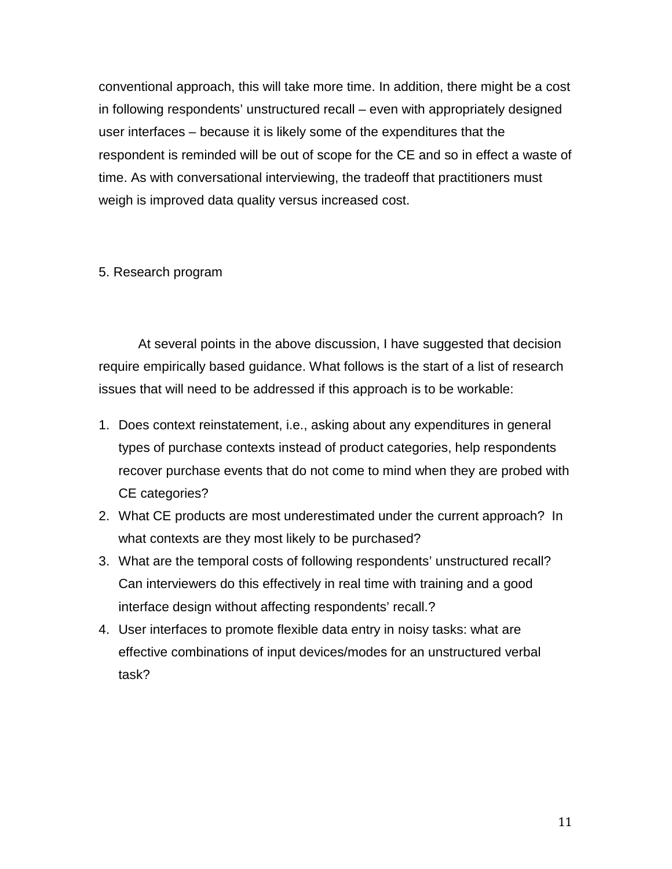conventional approach, this will take more time. In addition, there might be a cost in following respondents' unstructured recall – even with appropriately designed user interfaces – because it is likely some of the expenditures that the respondent is reminded will be out of scope for the CE and so in effect a waste of time. As with conversational interviewing, the tradeoff that practitioners must weigh is improved data quality versus increased cost.

5. Research program

At several points in the above discussion, I have suggested that decision require empirically based guidance. What follows is the start of a list of research issues that will need to be addressed if this approach is to be workable:

- 1. Does context reinstatement, i.e., asking about any expenditures in general types of purchase contexts instead of product categories, help respondents recover purchase events that do not come to mind when they are probed with CE categories?
- 2. What CE products are most underestimated under the current approach? In what contexts are they most likely to be purchased?
- 3. What are the temporal costs of following respondents' unstructured recall? Can interviewers do this effectively in real time with training and a good interface design without affecting respondents' recall.?
- 4. User interfaces to promote flexible data entry in noisy tasks: what are effective combinations of input devices/modes for an unstructured verbal task?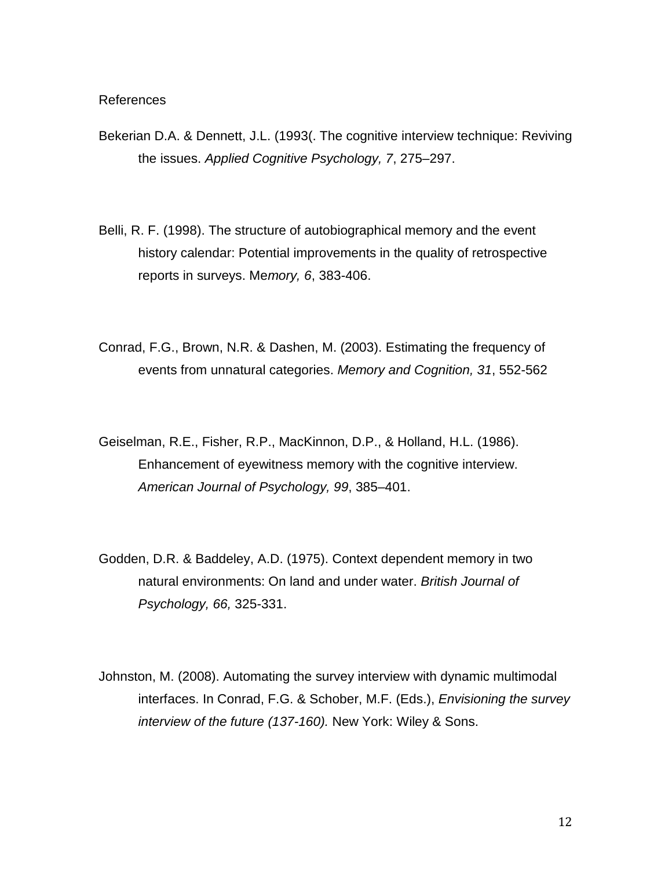References

- Bekerian D.A. & Dennett, J.L. (1993(. The cognitive interview technique: Reviving the issues. *Applied Cognitive Psychology, 7*, 275–297.
- Belli, R. F. (1998). The structure of autobiographical memory and the event history calendar: Potential improvements in the quality of retrospective reports in surveys. Me*mory, 6*, 383-406.
- Conrad, F.G., Brown, N.R. & Dashen, M. (2003). Estimating the frequency of events from unnatural categories. *Memory and Cognition, 31*, 552-562
- Geiselman, R.E., Fisher, R.P., MacKinnon, D.P., & Holland, H.L. (1986). Enhancement of eyewitness memory with the cognitive interview. *American Journal of Psychology, 99*, 385–401.
- Godden, D.R. & Baddeley, A.D. (1975). Context dependent memory in two natural environments: On land and under water. *British Journal of Psychology, 66,* 325-331.
- Johnston, M. (2008). Automating the survey interview with dynamic multimodal interfaces. In Conrad, F.G. & Schober, M.F. (Eds.), *Envisioning the survey interview of the future (137-160).* New York: Wiley & Sons.